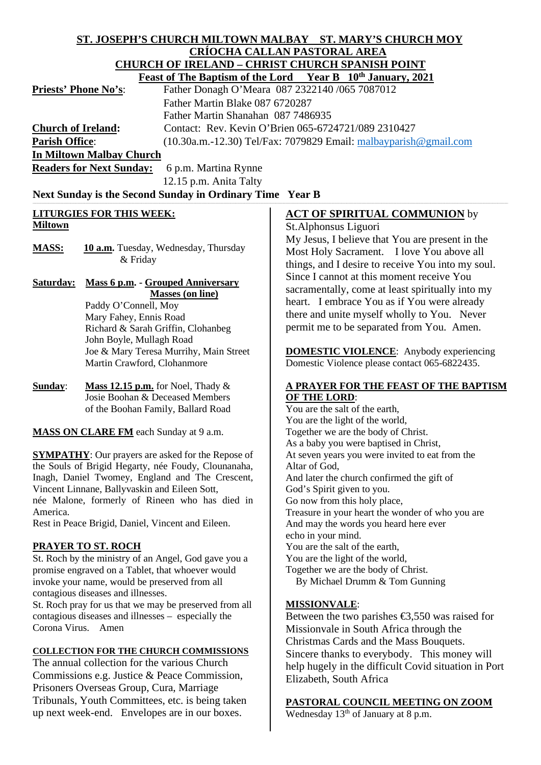#### **ST. JOSEPH'S CHURCH MILTOWN MALBAY ST. MARY'S CHURCH MOY CRÍOCHA CALLAN PASTORAL AREA CHURCH OF IRELAND – CHRIST CHURCH SPANISH POINT Feast of The Bontism of the Lord**

|                              | reast of the Baptism of the Lord rear B TV "January, 2021           |
|------------------------------|---------------------------------------------------------------------|
| <b>Priests' Phone No's</b> : | Father Donagh O'Meara 087 2322140 /065 7087012                      |
|                              | Father Martin Blake 087 6720287                                     |
|                              | Father Martin Shanahan 087 7486935                                  |
| <b>Church of Ireland:</b>    | Contact: Rev. Kevin O'Brien 065-6724721/089 2310427                 |
| <b>Parish Office:</b>        | $(10.30a.m.-12.30)$ Tel/Fax: 7079829 Email: malbayparish @gmail.com |
| In Miltown Malbay Church     |                                                                     |

**Readers for Next Sunday:** 6 p.m. Martina Rynne 12.15 p.m. Anita Talty

Next Sunday is the Second Sunday in Ordinary Time Year B

## **LITURGIES FOR THIS WEEK: Miltown**

MASS: **10 a.m.** Tuesday, Wednesday, Thursday & Friday

**Saturday: Mass 6 p.m. - Grouped Anniversary Masses (on line)**

Paddy O'Connell, Moy Mary Fahey, Ennis Road Richard & Sarah Griffin, Clohanbeg John Boyle, Mullagh Road Joe & Mary Teresa Murrihy, Main Street Martin Crawford, Clohanmore

**Sunday**: **Mass 12.15 p.m.** for Noel, Thady & Josie Boohan & Deceased Members of the Boohan Family, Ballard Road

**MASS ON CLARE FM** each Sunday at 9 a.m.

**SYMPATHY**: Our prayers are asked for the Repose of the Souls of Brigid Hegarty, née Foudy, Clounanaha, Inagh, Daniel Twomey, England and The Crescent, Vincent Linnane, Ballyvaskin and Eileen Sott, née Malone, formerly of Rineen who has died in America.

Rest in Peace Brigid, Daniel, Vincent and Eileen.

## **PRAYER TO ST. ROCH**

St. Roch by the ministry of an Angel, God gave you a promise engraved on a Tablet, that whoever would invoke your name, would be preserved from all contagious diseases and illnesses.

St. Roch pray for us that we may be preserved from all contagious diseases and illnesses – especially the Corona Virus. Amen

## **COLLECTION FOR THE CHURCH COMMISSIONS**

The annual collection for the various Church Commissions e.g. Justice & Peace Commission, Prisoners Overseas Group, Cura, Marriage Tribunals, Youth Committees, etc. is being taken up next week-end. Envelopes are in our boxes.

## **ACT OF SPIRITUAL COMMUNION** by

St.Alphonsus Liguori

My Jesus, I believe that You are present in the Most Holy Sacrament. I love You above all things, and I desire to receive You into my soul. Since I cannot at this moment receive You sacramentally, come at least spiritually into my heart. I embrace You as if You were already there and unite myself wholly to You. Never permit me to be separated from You. Amen.

**DOMESTIC VIOLENCE:** Anybody experiencing Domestic Violence please contact 065-6822435.

#### **A PRAYER FOR THE FEAST OF THE BAPTISM OF THE LORD**:

You are the salt of the earth, You are the light of the world, Together we are the body of Christ. As a baby you were baptised in Christ, At seven years you were invited to eat from the Altar of God, And later the church confirmed the gift of God's Spirit given to you. Go now from this holy place, Treasure in your heart the wonder of who you are And may the words you heard here ever echo in your mind. You are the salt of the earth, You are the light of the world, Together we are the body of Christ. By Michael Drumm & Tom Gunning

### **MISSIONVALE**:

Between the two parishes  $\epsilon$ 3,550 was raised for Missionvale in South Africa through the Christmas Cards and the Mass Bouquets. Sincere thanks to everybody. This money will help hugely in the difficult Covid situation in Port Elizabeth, South Africa

# **PASTORAL COUNCIL MEETING ON ZOOM**

Wednesday  $13<sup>th</sup>$  of January at 8 p.m.